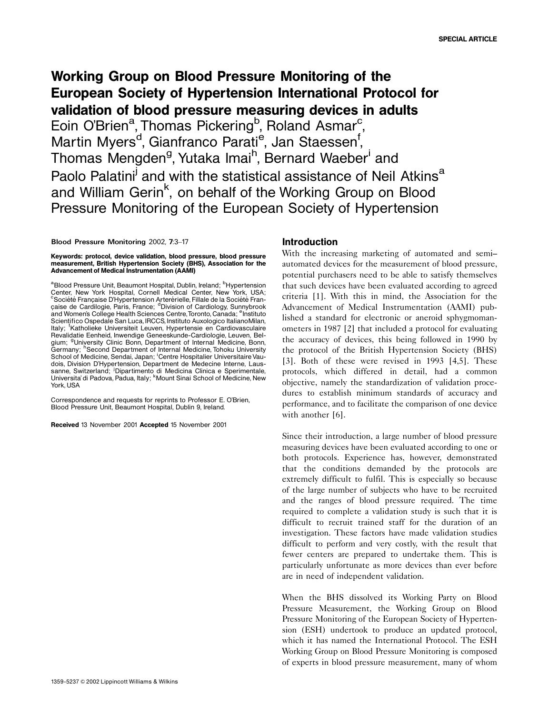# Working Group on Blood Pressure Monitoring of the European Society of Hypertension International Protocol for validation of blood pressure measuring devices in adults

Eoin O'Brien<sup>a</sup>, Thomas Pickering<sup>b</sup>, Roland Asmar<sup>c</sup>, Martin Myers<sup>d</sup>, Gianfranco Parati<sup>e</sup>, Jan Staessen<sup>f</sup>, Thomas Mengden<sup>g</sup>, Yutaka Imai<sup>h</sup>, Bernard Waeber<sup>i</sup> and Paolo Palatini<sup>j</sup> and with the statistical assistance of Neil Atkins<sup>a</sup> and William Gerin<sup>k</sup>, on behalf of the Working Group on Blood Pressure Monitoring of the European Society of Hypertension

Blood Pressure Monitoring 2002, 7:3-17

Keywords: protocol, device validation, blood pressure, blood pressure measurement, British Hypertension Society (BHS), Association for the Advancement of Medical Instrumentation (AAMI)

<sup>a</sup>Blood Pressure Unit, Beaumont Hospital, Dublin, Ireland; <sup>b</sup>Hypertension Center, New York Hospital, Cornell Medical Center, New York, USA; <sup>c</sup>Société Française D'Hypertension Arterérielle, Fillale de la Société Fran-<sup>c</sup>Société Française D'Hypertension Arterérielle, Fillale de la Société Fran-<br>çaise de Cardilogie, Paris, France; <sup>d</sup>'Division of Cardiology, Sunnybrook and Women's College Health Sciences Centre, Toronto, Canada; <sup>e</sup>Instituto Scientifico Ospedale San Luca, IRCCS, Instituto Auxologico ItalianoMilan, Italy; <sup>f</sup> Katholieke Universiteit Leuven, Hypertensie en Cardiovasculaire Revalidatie Eenheid, Inwendige Geneeskunde-Cardiologie, Leuven, Belgium; <sup>g</sup>University Clinic Bonn, Department of Internal Medicine, Bonn, Germany; <sup>h</sup>Second Department of Internal Medicine, Tohoku University School of Medicine, Sendai, Japan; Centre Hospitalier Universitaire Vaudois, Division D'Hypertension, Department de Medecine Interne, Laussanne, Switzerland; <sup>j</sup>Dipartimento di Medicina Clinica e Sperimentale, Universita'di Padova, Padua, Italy; <sup>k</sup> Mount Sinai School of Medicine, New York, USA

Correspondence and requests for reprints to Professor E. O'Brien, Blood Pressure Unit, Beaumont Hospital, Dublin 9, Ireland.

Received 13 November 2001 Accepted 15 November 2001

#### Introduction

With the increasing marketing of automated and semi– automated devices for the measurement of blood pressure, potential purchasers need to be able to satisfy themselves that such devices have been evaluated according to agreed criteria [1]. With this in mind, the Association for the Advancement of Medical Instrumentation (AAMI) published a standard for electronic or aneroid sphygmomanometers in 1987 [2] that included a protocol for evaluating the accuracy of devices, this being followed in 1990 by the protocol of the British Hypertension Society (BHS) [3]. Both of these were revised in 1993 [4,5]. These protocols, which differed in detail, had a common objective, namely the standardization of validation procedures to establish minimum standards of accuracy and performance, and to facilitate the comparison of one device with another [6].

Since their introduction, a large number of blood pressure measuring devices have been evaluated according to one or both protocols. Experience has, however, demonstrated that the conditions demanded by the protocols are extremely difficult to fulfil. This is especially so because of the large number of subjects who have to be recruited and the ranges of blood pressure required. The time required to complete a validation study is such that it is difficult to recruit trained staff for the duration of an investigation. These factors have made validation studies difficult to perform and very costly, with the result that fewer centers are prepared to undertake them. This is particularly unfortunate as more devices than ever before are in need of independent validation.

When the BHS dissolved its Working Party on Blood Pressure Measurement, the Working Group on Blood Pressure Monitoring of the European Society of Hypertension (ESH) undertook to produce an updated protocol, which it has named the International Protocol. The ESH Working Group on Blood Pressure Monitoring is composed of experts in blood pressure measurement, many of whom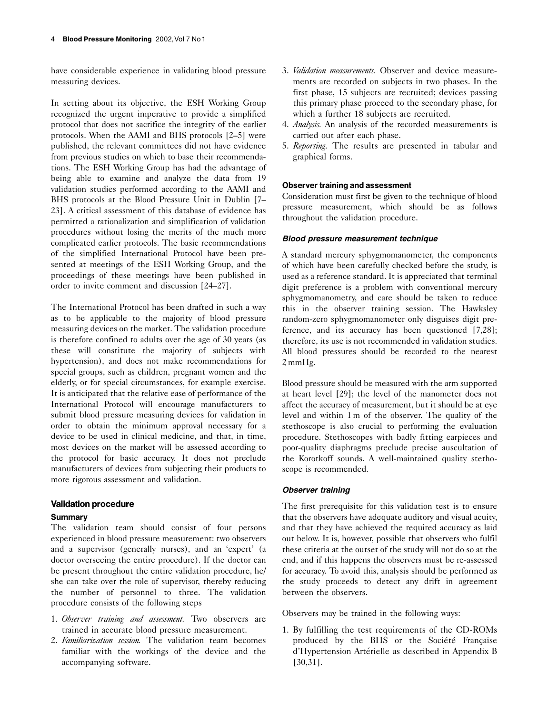have considerable experience in validating blood pressure measuring devices.

In setting about its objective, the ESH Working Group recognized the urgent imperative to provide a simplified protocol that does not sacrifice the integrity of the earlier protocols. When the AAMI and BHS protocols [2–5] were published, the relevant committees did not have evidence from previous studies on which to base their recommendations. The ESH Working Group has had the advantage of being able to examine and analyze the data from 19 validation studies performed according to the AAMI and BHS protocols at the Blood Pressure Unit in Dublin [7– 23]. A critical assessment of this database of evidence has permitted a rationalization and simplification of validation procedures without losing the merits of the much more complicated earlier protocols. The basic recommendations of the simplified International Protocol have been presented at meetings of the ESH Working Group, and the proceedings of these meetings have been published in order to invite comment and discussion [24–27].

The International Protocol has been drafted in such a way as to be applicable to the majority of blood pressure measuring devices on the market. The validation procedure is therefore confined to adults over the age of 30 years (as these will constitute the majority of subjects with hypertension), and does not make recommendations for special groups, such as children, pregnant women and the elderly, or for special circumstances, for example exercise. It is anticipated that the relative ease of performance of the International Protocol will encourage manufacturers to submit blood pressure measuring devices for validation in order to obtain the minimum approval necessary for a device to be used in clinical medicine, and that, in time, most devices on the market will be assessed according to the protocol for basic accuracy. It does not preclude manufacturers of devices from subjecting their products to more rigorous assessment and validation.

## Validation procedure

## **Summary**

The validation team should consist of four persons experienced in blood pressure measurement: two observers and a supervisor (generally nurses), and an 'expert' (a doctor overseeing the entire procedure). If the doctor can be present throughout the entire validation procedure, he/ she can take over the role of supervisor, thereby reducing the number of personnel to three. The validation procedure consists of the following steps

- 1. Observer training and assessment. Two observers are trained in accurate blood pressure measurement.
- 2. Familiarization session. The validation team becomes familiar with the workings of the device and the accompanying software.
- 3. Validation measurements. Observer and device measurements are recorded on subjects in two phases. In the first phase, 15 subjects are recruited; devices passing this primary phase proceed to the secondary phase, for which a further 18 subjects are recruited.
- 4. Analysis. An analysis of the recorded measurements is carried out after each phase.
- 5. Reporting. The results are presented in tabular and graphical forms.

## Observer training and assessment

Consideration must first be given to the technique of blood pressure measurement, which should be as follows throughout the validation procedure.

## Blood pressure measurement technique

A standard mercury sphygmomanometer, the components of which have been carefully checked before the study, is used as a reference standard. It is appreciated that terminal digit preference is a problem with conventional mercury sphygmomanometry, and care should be taken to reduce this in the observer training session. The Hawksley random-zero sphygmomanometer only disguises digit preference, and its accuracy has been questioned [7,28]; therefore, its use is not recommended in validation studies. All blood pressures should be recorded to the nearest 2 mmHg.

Blood pressure should be measured with the arm supported at heart level [29]; the level of the manometer does not affect the accuracy of measurement, but it should be at eye level and within 1 m of the observer. The quality of the stethoscope is also crucial to performing the evaluation procedure. Stethoscopes with badly fitting earpieces and poor-quality diaphragms preclude precise auscultation of the Korotkoff sounds. A well-maintained quality stethoscope is recommended.

## Observer training

The first prerequisite for this validation test is to ensure that the observers have adequate auditory and visual acuity, and that they have achieved the required accuracy as laid out below. It is, however, possible that observers who fulfil these criteria at the outset of the study will not do so at the end, and if this happens the observers must be re-assessed for accuracy. To avoid this, analysis should be performed as the study proceeds to detect any drift in agreement between the observers.

Observers may be trained in the following ways:

1. By fulfilling the test requirements of the CD-ROMs produced by the BHS or the Société Française d'Hypertension Artérielle as described in Appendix B [30,31].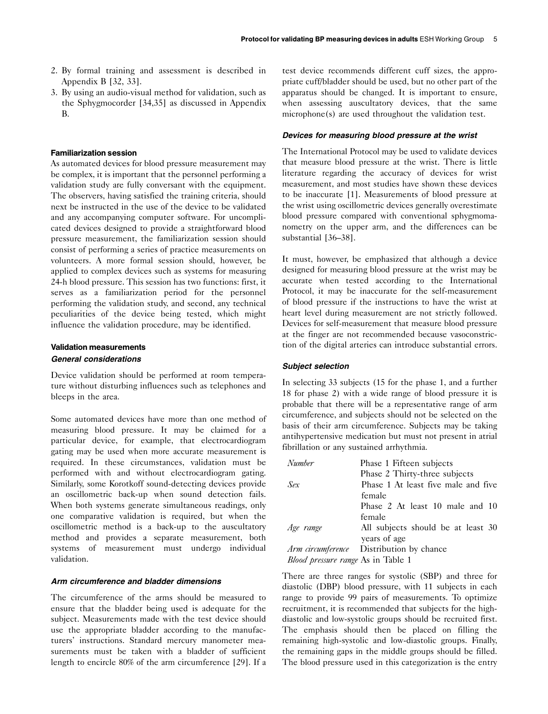- 2. By formal training and assessment is described in Appendix B [32, 33].
- 3. By using an audio-visual method for validation, such as the Sphygmocorder [34,35] as discussed in Appendix B.

## Familiarization session

As automated devices for blood pressure measurement may be complex, it is important that the personnel performing a validation study are fully conversant with the equipment. The observers, having satisfied the training criteria, should next be instructed in the use of the device to be validated and any accompanying computer software. For uncomplicated devices designed to provide a straightforward blood pressure measurement, the familiarization session should consist of performing a series of practice measurements on volunteers. A more formal session should, however, be applied to complex devices such as systems for measuring 24-h blood pressure. This session has two functions: first, it serves as a familiarization period for the personnel performing the validation study, and second, any technical peculiarities of the device being tested, which might influence the validation procedure, may be identified.

## Validation measurements

## General considerations

Device validation should be performed at room temperature without disturbing influences such as telephones and bleeps in the area.

Some automated devices have more than one method of measuring blood pressure. It may be claimed for a particular device, for example, that electrocardiogram gating may be used when more accurate measurement is required. In these circumstances, validation must be performed with and without electrocardiogram gating. Similarly, some Korotkoff sound-detecting devices provide an oscillometric back-up when sound detection fails. When both systems generate simultaneous readings, only one comparative validation is required, but when the oscillometric method is a back-up to the auscultatory method and provides a separate measurement, both systems of measurement must undergo individual validation.

# Arm circumference and bladder dimensions

The circumference of the arms should be measured to ensure that the bladder being used is adequate for the subject. Measurements made with the test device should use the appropriate bladder according to the manufacturers' instructions. Standard mercury manometer measurements must be taken with a bladder of sufficient length to encircle 80% of the arm circumference [29]. If a

test device recommends different cuff sizes, the appropriate cuff/bladder should be used, but no other part of the apparatus should be changed. It is important to ensure, when assessing auscultatory devices, that the same microphone(s) are used throughout the validation test.

## Devices for measuring blood pressure at the wrist

The International Protocol may be used to validate devices that measure blood pressure at the wrist. There is little literature regarding the accuracy of devices for wrist measurement, and most studies have shown these devices to be inaccurate [1]. Measurements of blood pressure at the wrist using oscillometric devices generally overestimate blood pressure compared with conventional sphygmomanometry on the upper arm, and the differences can be substantial [36–38].

It must, however, be emphasized that although a device designed for measuring blood pressure at the wrist may be accurate when tested according to the International Protocol, it may be inaccurate for the self-measurement of blood pressure if the instructions to have the wrist at heart level during measurement are not strictly followed. Devices for self-measurement that measure blood pressure at the finger are not recommended because vasoconstriction of the digital arteries can introduce substantial errors.

## Subject selection

In selecting 33 subjects (15 for the phase 1, and a further 18 for phase 2) with a wide range of blood pressure it is probable that there will be a representative range of arm circumference, and subjects should not be selected on the basis of their arm circumference. Subjects may be taking antihypertensive medication but must not present in atrial fibrillation or any sustained arrhythmia.

| Number                             | Phase 1 Fifteen subjects                  |
|------------------------------------|-------------------------------------------|
|                                    | Phase 2 Thirty-three subjects             |
| Sex                                | Phase 1 At least five male and five       |
|                                    | female                                    |
|                                    | Phase 2 At least 10 male and 10           |
|                                    | female                                    |
| Age range                          | All subjects should be at least 30        |
|                                    | years of age                              |
|                                    | Arm circumference  Distribution by chance |
| Blood pressure range As in Table 1 |                                           |

There are three ranges for systolic (SBP) and three for diastolic (DBP) blood pressure, with 11 subjects in each range to provide 99 pairs of measurements. To optimize recruitment, it is recommended that subjects for the highdiastolic and low-systolic groups should be recruited first. The emphasis should then be placed on filling the remaining high-systolic and low-diastolic groups. Finally, the remaining gaps in the middle groups should be filled. The blood pressure used in this categorization is the entry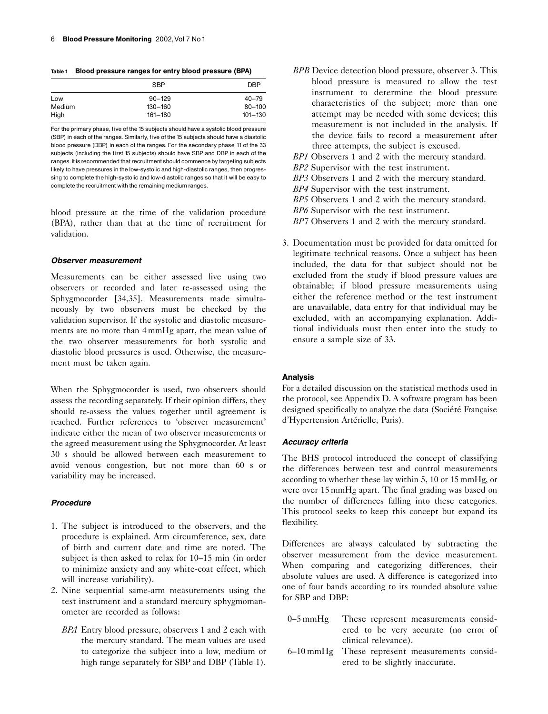Table 1 Blood pressure ranges for entry blood pressure (BPA)

|               | <b>SBP</b>            | <b>DBP</b>              |
|---------------|-----------------------|-------------------------|
| Low<br>Medium | $90 - 129$<br>130-160 | $40 - 79$<br>$80 - 100$ |
| High          | $161 - 180$           | $101 - 130$             |

For the primary phase, five of the 15 subjects should have a systolic blood pressure (SBP) in each of the ranges. Similarly, five of the 15 subjects should have a diastolic blood pressure (DBP) in each of the ranges. For the secondary phase,11 of the 33 subjects (including the first 15 subjects) should have SBP and DBP in each of the ranges. It is recommended that recruitment should commence by targeting subjects likely to have pressures in the low-systolic and high-diastolic ranges, then progressing to complete the high-systolic and low-diastolic ranges so that it will be easy to complete the recruitment with the remaining medium ranges.

blood pressure at the time of the validation procedure (BPA), rather than that at the time of recruitment for validation.

#### Observer measurement

Measurements can be either assessed live using two observers or recorded and later re-assessed using the Sphygmocorder [34,35]. Measurements made simultaneously by two observers must be checked by the validation supervisor. If the systolic and diastolic measurements are no more than 4 mmHg apart, the mean value of the two observer measurements for both systolic and diastolic blood pressures is used. Otherwise, the measurement must be taken again.

When the Sphygmocorder is used, two observers should assess the recording separately. If their opinion differs, they should re-assess the values together until agreement is reached. Further references to 'observer measurement' indicate either the mean of two observer measurements or the agreed measurement using the Sphygmocorder. At least 30 s should be allowed between each measurement to avoid venous congestion, but not more than 60 s or variability may be increased.

## Procedure

- 1. The subject is introduced to the observers, and the procedure is explained. Arm circumference, sex, date of birth and current date and time are noted. The subject is then asked to relax for 10–15 min (in order to minimize anxiety and any white-coat effect, which will increase variability).
- 2. Nine sequential same-arm measurements using the test instrument and a standard mercury sphygmomanometer are recorded as follows:
	- BPA Entry blood pressure, observers 1 and 2 each with the mercury standard. The mean values are used to categorize the subject into a low, medium or high range separately for SBP and DBP (Table 1).
- BPB Device detection blood pressure, observer 3. This blood pressure is measured to allow the test instrument to determine the blood pressure characteristics of the subject; more than one attempt may be needed with some devices; this measurement is not included in the analysis. If the device fails to record a measurement after three attempts, the subject is excused.
- BP1 Observers 1 and 2 with the mercury standard.
- BP2 Supervisor with the test instrument.
- BP3 Observers 1 and 2 with the mercury standard.
- BP4 Supervisor with the test instrument.
- BP5 Observers 1 and 2 with the mercury standard.
- BP6 Supervisor with the test instrument.

BP7 Observers 1 and 2 with the mercury standard.

3. Documentation must be provided for data omitted for legitimate technical reasons. Once a subject has been included, the data for that subject should not be excluded from the study if blood pressure values are obtainable; if blood pressure measurements using either the reference method or the test instrument are unavailable, data entry for that individual may be excluded, with an accompanying explanation. Additional individuals must then enter into the study to ensure a sample size of 33.

#### Analysis

For a detailed discussion on the statistical methods used in the protocol, see Appendix D. A software program has been designed specifically to analyze the data (Société Française d'Hypertension Artérielle, Paris).

#### Accuracy criteria

The BHS protocol introduced the concept of classifying the differences between test and control measurements according to whether these lay within 5, 10 or 15 mmHg, or were over 15 mmHg apart. The final grading was based on the number of differences falling into these categories. This protocol seeks to keep this concept but expand its flexibility.

Differences are always calculated by subtracting the observer measurement from the device measurement. When comparing and categorizing differences, their absolute values are used. A difference is categorized into one of four bands according to its rounded absolute value for SBP and DBP:

- 0–5 mmHg These represent measurements considered to be very accurate (no error of clinical relevance).
- 6–10 mmHg These represent measurements considered to be slightly inaccurate.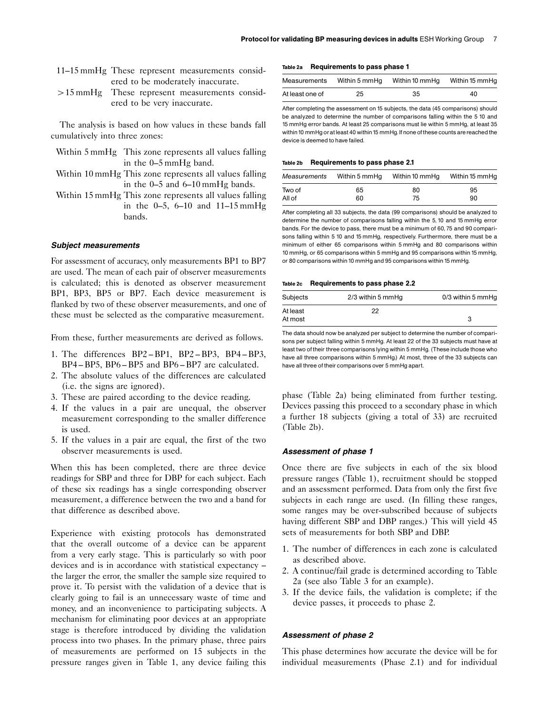- 11–15 mmHg These represent measurements considered to be moderately inaccurate.
- $>15$  mmHg These represent measurements considered to be very inaccurate.

The analysis is based on how values in these bands fall cumulatively into three zones:

- Within 5 mmHg This zone represents all values falling in the 0–5 mmHg band.
- Within 10 mmHg This zone represents all values falling in the 0–5 and 6–10 mmHg bands.
- Within 15 mmHg This zone represents all values falling in the 0–5, 6–10 and 11–15 mmHg bands.

#### Subject measurements

For assessment of accuracy, only measurements BP1 to BP7 are used. The mean of each pair of observer measurements is calculated; this is denoted as observer measurement BP1, BP3, BP5 or BP7. Each device measurement is flanked by two of these observer measurements, and one of these must be selected as the comparative measurement.

From these, further measurements are derived as follows.

- 1. The differences BP2 BP1, BP2 BP3, BP4 BP3, BP4 – BP5, BP6 – BP5 and BP6 – BP7 are calculated.
- 2. The absolute values of the differences are calculated (i.e. the signs are ignored).
- 3. These are paired according to the device reading.
- 4. If the values in a pair are unequal, the observer measurement corresponding to the smaller difference is used.
- 5. If the values in a pair are equal, the first of the two observer measurements is used.

When this has been completed, there are three device readings for SBP and three for DBP for each subject. Each of these six readings has a single corresponding observer measurement, a difference between the two and a band for that difference as described above.

Experience with existing protocols has demonstrated that the overall outcome of a device can be apparent from a very early stage. This is particularly so with poor devices and is in accordance with statistical expectancy – the larger the error, the smaller the sample size required to prove it. To persist with the validation of a device that is clearly going to fail is an unnecessary waste of time and money, and an inconvenience to participating subjects. A mechanism for eliminating poor devices at an appropriate stage is therefore introduced by dividing the validation process into two phases. In the primary phase, three pairs of measurements are performed on 15 subjects in the pressure ranges given in Table 1, any device failing this

#### Table 2a Requirements to pass phase 1

| Measurements    | Within 5 mmHa | Within 10 mmHa | Within 15 mm Hq |
|-----------------|---------------|----------------|-----------------|
| At least one of | 25            | 35             | 40              |

After completing the assessment on 15 subjects, the data (45 comparisons) should be analyzed to determine the number of comparisons falling within the 5 10 and 15 mmHg error bands. At least 25 comparisons must lie within 5 mmHg, at least 35 within 10 mmHg or at least 40 within 15 mmHg. If none of these counts are reached the device is deemed to have failed.

#### Table 2b Requirements to pass phase 2.1

| Measurements | Within 5 mmHq | Within 10 mmHq | Within 15 mmHq |
|--------------|---------------|----------------|----------------|
| Two of       | 65            | 80             | 95             |
| All of       | 60            | 75             | 90             |

After completing all 33 subjects, the data (99 comparisons) should be analyzed to determine the number of comparisons falling within the 5, 10 and 15 mmHg error bands. For the device to pass, there must be a minimum of 60, 75 and 90 comparisons falling within 5 10 and 15 mmHg, respectively. Furthermore, there must be a minimum of either 65 comparisons within 5 mmHg and 80 comparisons within 10 mmHg, or 65 comparisons within 5 mmHg and 95 comparisons within 15 mmHg, or 80 comparisons within 10 mmHg and 95 comparisons within 15 mmHg.

#### Table 2c Requirements to pass phase 2.2

| Subjects | 2/3 within 5 mmHq | 0/3 within 5 mmHq |
|----------|-------------------|-------------------|
| At least | 22                |                   |
| At most  |                   |                   |

The data should now be analyzed per subject to determine the number of comparisons per subject falling within 5 mmHg. At least 22 of the 33 subjects must have at least two of their three comparisonslying within 5 mmHg. (These include those who have all three comparisons within 5 mmHg.) At most, three of the 33 subjects can have all three of their comparisons over 5 mmHg apart.

phase (Table 2a) being eliminated from further testing. Devices passing this proceed to a secondary phase in which a further 18 subjects (giving a total of 33) are recruited (Table 2b).

#### Assessment of phase 1

Once there are five subjects in each of the six blood pressure ranges (Table 1), recruitment should be stopped and an assessment performed. Data from only the first five subjects in each range are used. (In filling these ranges, some ranges may be over-subscribed because of subjects having different SBP and DBP ranges.) This will yield 45 sets of measurements for both SBP and DBP.

- 1. The number of differences in each zone is calculated as described above.
- 2. A continue/fail grade is determined according to Table 2a (see also Table 3 for an example).
- 3. If the device fails, the validation is complete; if the device passes, it proceeds to phase 2.

#### Assessment of phase 2

This phase determines how accurate the device will be for individual measurements (Phase 2.1) and for individual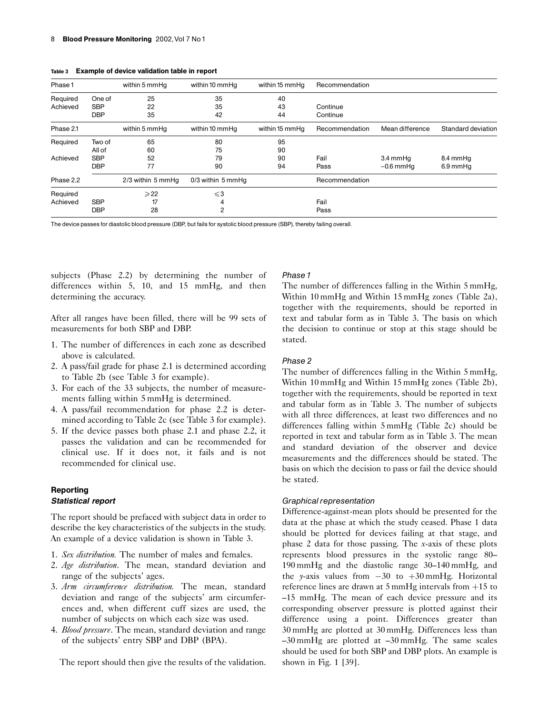| Phase 1   |            | within 5 mmHq     | within 10 mmHq    | within 15 mmHq | Recommendation |                 |                    |
|-----------|------------|-------------------|-------------------|----------------|----------------|-----------------|--------------------|
| Required  | One of     | 25                | 35                | 40             |                |                 |                    |
| Achieved  | <b>SBP</b> | 22                | 35                | 43             | Continue       |                 |                    |
|           | <b>DBP</b> | 35                | 42                | 44             | Continue       |                 |                    |
| Phase 2.1 |            | within 5 mmHq     | within 10 mmHq    | within 15 mmHq | Recommendation | Mean difference | Standard deviation |
| Required  | Two of     | 65                | 80                | 95             |                |                 |                    |
|           | All of     | 60                | 75                | 90             |                |                 |                    |
| Achieved  | <b>SBP</b> | 52                | 79                | 90             | Fail           | 3.4 mmHq        | 8.4 mmHq           |
|           | <b>DBP</b> | 77                | 90                | 94             | Pass           | $-0.6$ mmHa     | 6.9 mmHq           |
| Phase 2.2 |            | 2/3 within 5 mmHq | 0/3 within 5 mmHq |                | Recommendation |                 |                    |
| Required  |            | $\geqslant$ 22    | $\leqslant$ 3     |                |                |                 |                    |
| Achieved  | <b>SBP</b> | 17                | 4                 |                | Fail           |                 |                    |
|           | <b>DBP</b> | 28                | 2                 |                | Pass           |                 |                    |

#### Table 3 Example of device validation table in report

The device passes for diastolic blood pressure (DBP, but fails for systolic blood pressure (SBP), thereby failing overall.

subjects (Phase 2.2) by determining the number of differences within 5, 10, and 15 mmHg, and then determining the accuracy.

After all ranges have been filled, there will be 99 sets of measurements for both SBP and DBP.

- 1. The number of differences in each zone as described above is calculated.
- 2. A pass/fail grade for phase 2.1 is determined according to Table 2b (see Table 3 for example).
- 3. For each of the 33 subjects, the number of measurements falling within 5 mmHg is determined.
- 4. A pass/fail recommendation for phase 2.2 is determined according to Table 2c (see Table 3 for example).
- 5. If the device passes both phase 2.1 and phase 2.2, it passes the validation and can be recommended for clinical use. If it does not, it fails and is not recommended for clinical use.

# Reporting Statistical report

The report should be prefaced with subject data in order to describe the key characteristics of the subjects in the study. An example of a device validation is shown in Table 3.

- 1. Sex distribution. The number of males and females.
- 2. Age distribution. The mean, standard deviation and range of the subjects' ages.
- 3. Arm circumference distribution. The mean, standard deviation and range of the subjects' arm circumferences and, when different cuff sizes are used, the number of subjects on which each size was used.
- 4. *Blood pressure*. The mean, standard deviation and range of the subjects' entry SBP and DBP (BPA).

The report should then give the results of the validation.

## Phase 1

The number of differences falling in the Within 5 mmHg, Within 10 mmHg and Within 15 mmHg zones (Table 2a), together with the requirements, should be reported in text and tabular form as in Table 3. The basis on which the decision to continue or stop at this stage should be stated.

#### Phase 2

The number of differences falling in the Within 5 mmHg, Within 10 mmHg and Within 15 mmHg zones (Table 2b), together with the requirements, should be reported in text and tabular form as in Table 3. The number of subjects with all three differences, at least two differences and no differences falling within 5 mmHg (Table 2c) should be reported in text and tabular form as in Table 3. The mean and standard deviation of the observer and device measurements and the differences should be stated. The basis on which the decision to pass or fail the device should be stated.

## Graphical representation

Difference-against-mean plots should be presented for the data at the phase at which the study ceased. Phase 1 data should be plotted for devices failing at that stage, and phase 2 data for those passing. The x-axis of these plots represents blood pressures in the systolic range 80– 190 mmHg and the diastolic range 30–140 mmHg, and the y-axis values from  $-30$  to  $+30$  mmHg. Horizontal reference lines are drawn at  $5$  mmHg intervals from  $+15$  to –15 mmHg. The mean of each device pressure and its corresponding observer pressure is plotted against their difference using a point. Differences greater than 30 mmHg are plotted at 30 mmHg. Differences less than –30 mmHg are plotted at –30 mmHg. The same scales should be used for both SBP and DBP plots. An example is shown in Fig. 1 [39].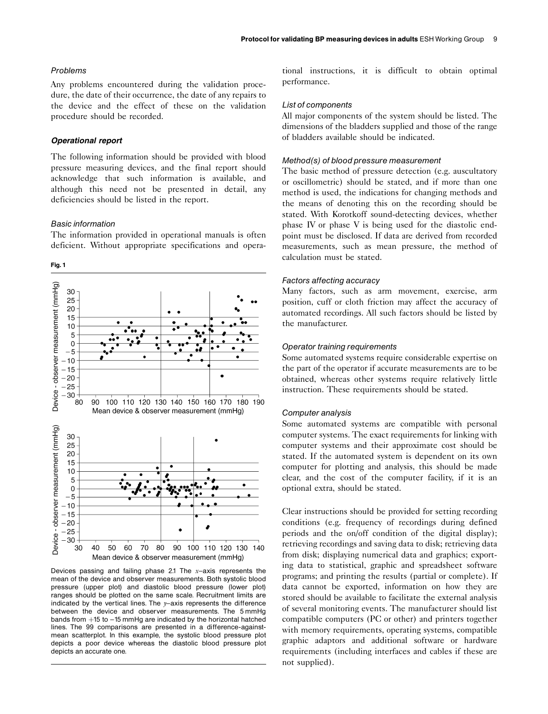## Problems

Any problems encountered during the validation procedure, the date of their occurrence, the date of any repairs to the device and the effect of these on the validation procedure should be recorded.

## Operational report

The following information should be provided with blood pressure measuring devices, and the final report should acknowledge that such information is available, and although this need not be presented in detail, any deficiencies should be listed in the report.

## Basic information

The information provided in operational manuals is often deficient. Without appropriate specifications and opera-





Devices passing and failing phase 2.1 The  $x$ -axis represents the mean of the device and observer measurements. Both systolic blood pressure (upper plot) and diastolic blood pressure (lower plot) ranges should be plotted on the same scale. Recruitment limits are indicated by the vertical lines. The  $y$ -axis represents the difference between the device and observer measurements. The 5 mmHg bands from  $+15$  to  $-15$  mmHg are indicated by the horizontal hatched lines. The 99 comparisons are presented in a difference-againstmean scatterplot. In this example, the systolic blood pressure plot depicts a poor device whereas the diastolic blood pressure plot depicts an accurate one.

tional instructions, it is difficult to obtain optimal performance.

## List of components

All major components of the system should be listed. The dimensions of the bladders supplied and those of the range of bladders available should be indicated.

# Method(s) of blood pressure measurement

The basic method of pressure detection (e.g. auscultatory or oscillometric) should be stated, and if more than one method is used, the indications for changing methods and the means of denoting this on the recording should be stated. With Korotkoff sound-detecting devices, whether phase IV or phase V is being used for the diastolic endpoint must be disclosed. If data are derived from recorded measurements, such as mean pressure, the method of calculation must be stated.

#### Factors affecting accuracy

Many factors, such as arm movement, exercise, arm position, cuff or cloth friction may affect the accuracy of automated recordings. All such factors should be listed by the manufacturer.

#### Operator training requirements

Some automated systems require considerable expertise on the part of the operator if accurate measurements are to be obtained, whereas other systems require relatively little instruction. These requirements should be stated.

#### Computer analysis

Some automated systems are compatible with personal computer systems. The exact requirements for linking with computer systems and their approximate cost should be stated. If the automated system is dependent on its own computer for plotting and analysis, this should be made clear, and the cost of the computer facility, if it is an optional extra, should be stated.

Clear instructions should be provided for setting recording conditions (e.g. frequency of recordings during defined periods and the on/off condition of the digital display); retrieving recordings and saving data to disk; retrieving data from disk; displaying numerical data and graphics; exporting data to statistical, graphic and spreadsheet software programs; and printing the results (partial or complete). If data cannot be exported, information on how they are stored should be available to facilitate the external analysis of several monitoring events. The manufacturer should list compatible computers (PC or other) and printers together with memory requirements, operating systems, compatible graphic adaptors and additional software or hardware requirements (including interfaces and cables if these are not supplied).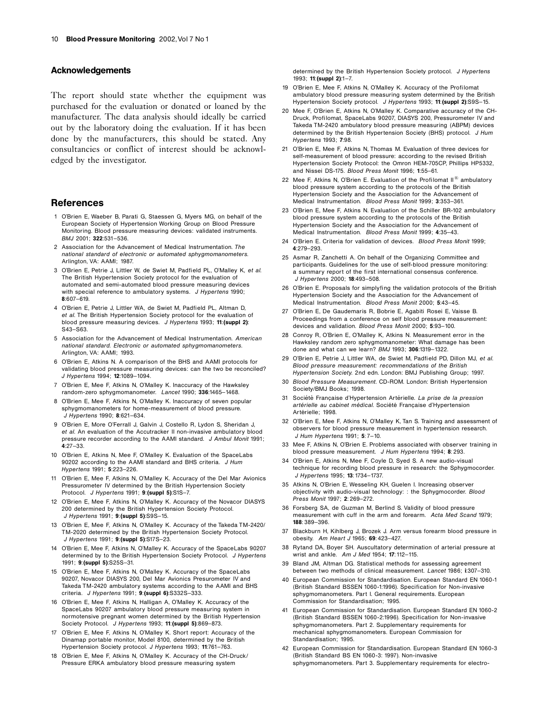## **Acknowledgements**

The report should state whether the equipment was purchased for the evaluation or donated or loaned by the manufacturer. The data analysis should ideally be carried out by the laboratory doing the evaluation. If it has been done by the manufacturers, this should be stated. Any consultancies or conflict of interest should be acknowledged by the investigator.

## **References**

- 1 O'Brien E, Waeber B, Parati G, Staessen G, Myers MG, on behalf of the European Society of Hypertension Working Group on Blood Pressure Monitoring. Blood pressure measuring devices: validated instruments. BMJ 2001: 322:531-536.
- 2 Association for the Advancement of Medical Instrumentation. The national standard of electronic or automated sphygmomanometers. Arlington, VA: AAMI; 1987.
- 3 O'Brien E, Petrie J, Littler W, de Swiet M, Padfield PL, O'Malley K, et al. The British Hypertension Society protocol for the evaluation of automated and semi-automated blood pressure measuring devices with special reference to ambulatory systems. J Hypertens 1990; 8:607^619.
- 4 O'Brien E, Petrie J, Littler WA, de Swiet M, Padfield PL, Altman D, et al. The British Hypertension Society protocol for the evaluation of blood pressure measuring devices. J Hypertens 1993: 11: (suppl 2): S<sub>43</sub>-S63.
- 5 Association for the Advancement of Medical Instrumentation. American national standard. Electronic or automated sphygmomanometers. Arlington, VA: AAMI; 1993.
- 6 O'Brien E, Atkins N. A comparison of the BHS and AAMI protocols for validating blood pressure measuring devices: can the two be reconciled? J Hypertens 1994; 12:1089-1094.
- 7 O'Brien E, Mee F, Atkins N, O'Malley K. Inaccuracy of the Hawksley random-zero sphygmomanometer. Lancet 1990; 336:1465-1468.
- 8 O'Brien E, Mee F, Atkins N, O'Malley K. Inaccuracy of seven popular sphygmomanometers for home-measurement of blood pressure. J Hypertens 1990; 8:621-634.
- 9 O'Brien E, More O'Ferrall J, Galvin J, Costello R, Lydon S, Sheridan J, et al. An evaluation of the Accutracker II non-invasive ambulatory blood pressure recorder according to the AAMI standard. J Ambul Monit 1991;  $4:27-33.$
- 10 O'Brien E, Atkins N, Mee F, O'Malley K. Evaluation of the SpaceLabs 90202 according to the AAMI standard and BHS criteria. J Hum Hypertens 1991: 5:223-226.
- 11 O'Brien E, Mee F, Atkins N, O'Malley K. Accuracy of the Del Mar Avionics Pressurometer IV determined by the British Hypertension Society Protocol. J Hypertens 1991; 9:(suppl 5):S1S-7.
- 12 O'Brien E, Mee F, Atkins N, O'Malley K. Accuracy of the Novacor DIASYS 200 determined by the British Hypertension Society Protocol. J Hypertens 1991; 9: (suppl 5):S9S-15.
- 13 O'Brien E, Mee F, Atkins N, O'Malley K. Accuracy of the Takeda TM-2420/ TM-2020 determined by the British Hypertension Society Protocol. J Hypertens 1991; 9: (suppl 5):S17S-23.
- 14 O'Brien F, Mee F, Atkins N, O'Malley K, Accuracy of the SpaceLabs 90207 determined by to the British Hypertension Society Protocol. J Hypertens 1991; 9: (suppl 5):S25S-31.
- 15 O'Brien E, Mee F, Atkins N, O'Malley K. Accuracy of the SpaceLabs 90207, Novacor DIASYS 200, Del Mar Avionics Presurometer IV and Takeda TM-2420 ambulatory systems according to the AAMI and BHS criteria. J Hypertens 1991; 9: (suppl 6):S332S-333.
- 16 O'Brien E, Mee F, Atkins N, Halligan A, O'Malley K. Accuracy of the SpaceLabs 90207 ambulatory blood pressure measuring system in normotensive pregnant women determined by the British Hypertension Society Protocol. J Hypertens 1993; 11: (suppl 5):869-873.
- 17 O'Brien E, Mee F, Atkins N, O'Malley K. Short report: Accuracy of the Dinamap portable monitor, Model 8100, determined by the British Hypertension Society protocol. J Hypertens 1993; 11:761-763.
- 18 O'Brien E, Mee F, Atkins N, O'Malley K. Accuracy of the CH-Druck/ Pressure ERKA ambulatory blood pressure measuring system

determined by the British Hypertension Society protocol. J Hypertens 1993: 11: (suppl 2): 1-7.

- 19 O'Brien E, Mee F, Atkins N, O'Malley K. Accuracy of the Pro¢lomat ambulatory blood pressure measuring system determined by the British Hypertension Society protocol. J Hypertens 1993; 11: (suppl 2):S9S-15.
- 20 Mee F, O'Brien E, Atkins N, O'Malley K. Comparative accuracy of the CH-Druck, Pro¢lomat, SpaceLabs 90207, DIASYS 200, Pressurometer IV and Takeda TM-2420 ambulatory blood pressure measuring (ABPM) devices determined by the British Hypertension Society (BHS) protocol. J Hum Hypertens 1993; 7:98.
- 21 O'Brien E, Mee F, Atkins N, Thomas M. Evaluation of three devices for self-measurement of blood pressure: according to the revised British Hypertension Society Protocol: the Omron HEM-705CP, Phillips HP5332, and Nissei DS-175. Blood Press Monit 1996; 1:55-61.
- 22 Mee F, Atkins N, O'Brien E. Evaluation of the Profilomat  $II^{\textcircled{k}}$  ambulatory blood pressure system according to the protocols of the British Hypertension Society and the Association for the Advancement of Medical Instrumentation. Blood Press Monit 1999; 3:353-361.
- 23. O'Brien E, Mee F, Atkins N. Evaluation of the Schiller BR-102 ambulatory blood pressure system according to the protocols of the British Hypertension Society and the Association for the Advancement of Medical Instrumentation. Blood Press Monit 1999; 4:35^43.
- 24 O'Brien E. Criteria for validation of devices. Blood Press Monit 1999;  $4.279 - 293$
- 25 Asmar R, Zanchetti A. On behalf of the Organizing Committee and participants. Guidelines for the use of self-blood pressure monitoring: a summary report of the first international consensus conference. J Hypertens 2000: **18**:493-508.
- 26 O'Brien E. Proposals for simplyfing the validation protocols of the British Hypertension Society and the Association for the Advancement of Medical Instrumentation. Blood Press Monit 2000: 5:43-45.
- 27 O'Brien E, De Gaudemaris R, Bobrie E, Agabiti Rosei E, Vaisse B. Proceedings from a conference on self blood pressure measurement: devices and validation. Blood Press Monit 2000; 5:93-100.
- 28 Conroy R, O'Brien E, O'Malley K, Atkins N. Measurement error in the Hawksley random zero sphygmomanometer: What damage has been done and what can we learn? BMJ 1993; 306:1319-1322.
- 29 O'Brien E, Petrie J, Littler WA, de Swiet M, Padfield PD, Dillon MJ, et al. Blood pressure measurement: recommendations of the British Hypertension Society. 2nd edn. London: BMJ Publishing Group; 1997.
- 30 Blood Pressure Measurement. CD-ROM. London: British Hypertension Society/BMJ Books; 1998.
- 31 Société Francaise d'Hypertension Artérielle. La prise de la pression artérielle au cabinet médical. Société Francaise d'Hypertension Artérielle: 1998.
- 32 O'Brien E, Mee F, Atkins N, O'Malley K, Tan S. Training and assessment of observers for blood pressure measurement in hypertension research. J Hum Hypertens 1991; 5: 7-10.
- 33 Mee F, Atkins N, O'Brien E. Problems associated with observer training in blood pressure measurement. J Hum Hypertens 1994; 8:293.
- 34 O'Brien E, Atkins N, Mee F, Coyle D, Syed S. A new audio-visual technique for recording blood pressure in research: the Sphygmocorder. J Hypertens 1995; **13**: 1734-1737.
- 35 Atkins N, O'Brien E, Wesseling KH, Guelen I. Increasing observer objectivity with audio-visual technology: : the Sphygmocorder. Blood Press Monit 1997; 2: 269-272.
- 36 Forsberg SA, de Guzman M, Berlind S. Validity of blood pressure measurement with cuff in the arm and forearm. Acta Med Scand 1979; 188: 389-396
- 37 Blackburn H, Kihlberg J, Brozek J. Arm versus forearm blood pressure in obesity. Am Heart J 1965; 69: 423-427.
- 38 Rytand DA, Boyer SH. Auscultatory determination of arterial pressure at wrist and ankle. Am J Med 1954; 17:112-115.
- 39 Bland JM, Altman DG. Statistical methods for assessing agreement between two methods of clinical measurement. Lancet 1986: i:307-310.
- 40 European Commission for Standardisation. European Standard EN 1060-1 (British Standard BSSEN 1060-1:1996). Specification for Non-invasive sphygmomanometers. Part I. General requirements. European Commission for Standardisation; 1995.
- 41 European Commission for Standardisation. European Standard EN 1060-2 (British Standard BSSEN 1060-2:1996). Specification for Non-invasive sphygmomanometers. Part 2. Supplementary requirements for mechanical sphygmomanometers. European Commission for Standardisation; 1995.
- 42 European Commission for Standardisation. European Standard EN 1060-3 (British Standard BS EN 1060-3: 1997). Non-invasive sphygmomanometers. Part 3. Supplementary requirements for electro-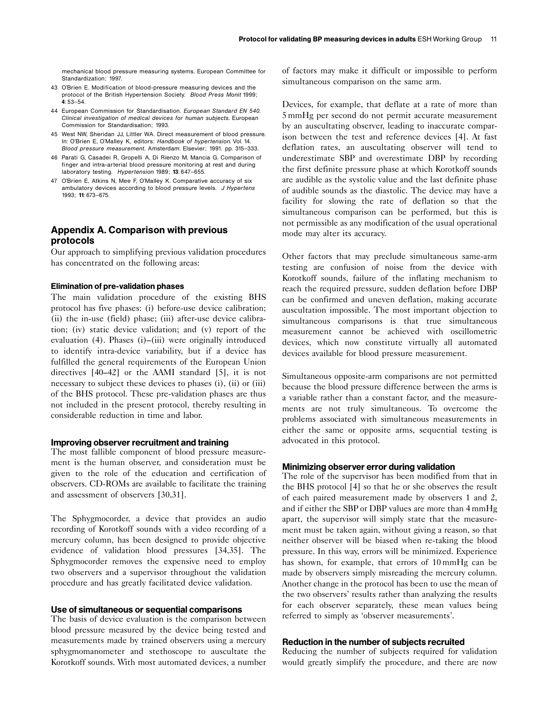mechanical blood pressure measuring systems. European Committee for Standardization; 1997.

- 43 O'Brien E. Modification of blood-pressure measuring devices and the protocol of the British Hypertension Society. Blood Press Monit 1999;  $4:53 - 54.$
- 44 European Commission for Standardisation. European Standard EN 540. Clinical investigation of medical devices for human subjects. European Commission for Standardisation; 1993.
- 45 West NW, Sheridan JJ, Littler WA. Direct measurement of blood pressure. In: O'Brien E, O'Malley K, editors: Handbook of hypertension. Vol. 14. Blood pressure measurement. Amsterdam: Elsevier; 1991. pp. 315^333.
- 46 Parati G, Casadei R, Gropelli A, Di Rienzo M, Mancia G. Comparison of ¢nger and intra-arterial blood pressure monitoring at rest and during laboratory testing. Hypertension 1989; 13:647-655.
- 47 O'Brien E, Atkins N, Mee F, O'Malley K. Comparative accuracy of six ambulatory devices according to blood pressure levels. J Hypertens  $1993 \cdot 11.673 - 675$

# Appendix A. Comparison with previous protocols

Our approach to simplifying previous validation procedures has concentrated on the following areas:

## Elimination of pre-validation phases

The main validation procedure of the existing BHS protocol has five phases: (i) before-use device calibration; (ii) the in-use (field) phase; (iii) after-use device calibration; (iv) static device validation; and (v) report of the evaluation (4). Phases (i)–(iii) were originally introduced to identify intra-device variability, but if a device has fulfilled the general requirements of the European Union directives [40–42] or the AAMI standard [5], it is not necessary to subject these devices to phases (i), (ii) or (iii) of the BHS protocol. These pre-validation phases are thus not included in the present protocol, thereby resulting in considerable reduction in time and labor.

#### Improving observer recruitment and training

The most fallible component of blood pressure measurement is the human observer, and consideration must be given to the role of the education and certification of observers. CD-ROMs are available to facilitate the training and assessment of observers [30,31].

The Sphygmocorder, a device that provides an audio recording of Korotkoff sounds with a video recording of a mercury column, has been designed to provide objective evidence of validation blood pressures [34,35]. The Sphygmocorder removes the expensive need to employ two observers and a supervisor throughout the validation procedure and has greatly facilitated device validation.

## Use of simultaneous or sequential comparisons

The basis of device evaluation is the comparison between blood pressure measured by the device being tested and measurements made by trained observers using a mercury sphygmomanometer and stethoscope to auscultate the Korotkoff sounds. With most automated devices, a number

of factors may make it difficult or impossible to perform simultaneous comparison on the same arm.

Devices, for example, that deflate at a rate of more than 5 mmHg per second do not permit accurate measurement by an auscultating observer, leading to inaccurate comparison between the test and reference devices [4]. At fast deflation rates, an auscultating observer will tend to underestimate SBP and overestimate DBP by recording the first definite pressure phase at which Korotkoff sounds are audible as the systolic value and the last definite phase of audible sounds as the diastolic. The device may have a facility for slowing the rate of deflation so that the simultaneous comparison can be performed, but this is not permissible as any modification of the usual operational mode may alter its accuracy.

Other factors that may preclude simultaneous same-arm testing are confusion of noise from the device with Korotkoff sounds, failure of the inflating mechanism to reach the required pressure, sudden deflation before DBP can be confirmed and uneven deflation, making accurate auscultation impossible. The most important objection to simultaneous comparisons is that true simultaneous measurement cannot be achieved with oscillometric devices, which now constitute virtually all automated devices available for blood pressure measurement.

Simultaneous opposite-arm comparisons are not permitted because the blood pressure difference between the arms is a variable rather than a constant factor, and the measurements are not truly simultaneous. To overcome the problems associated with simultaneous measurements in either the same or opposite arms, sequential testing is advocated in this protocol.

## Minimizing observer error during validation

The role of the supervisor has been modified from that in the BHS protocol [4] so that he or she observes the result of each paired measurement made by observers 1 and 2, and if either the SBP or DBP values are more than 4 mmHg apart, the supervisor will simply state that the measurement must be taken again, without giving a reason, so that neither observer will be biased when re-taking the blood pressure. In this way, errors will be minimized. Experience has shown, for example, that errors of 10 mmHg can be made by observers simply misreading the mercury column. Another change in the protocol has been to use the mean of the two observers' results rather than analyzing the results for each observer separately, these mean values being referred to simply as 'observer measurements'.

#### Reduction in the number of subjects recruited

Reducing the number of subjects required for validation would greatly simplify the procedure, and there are now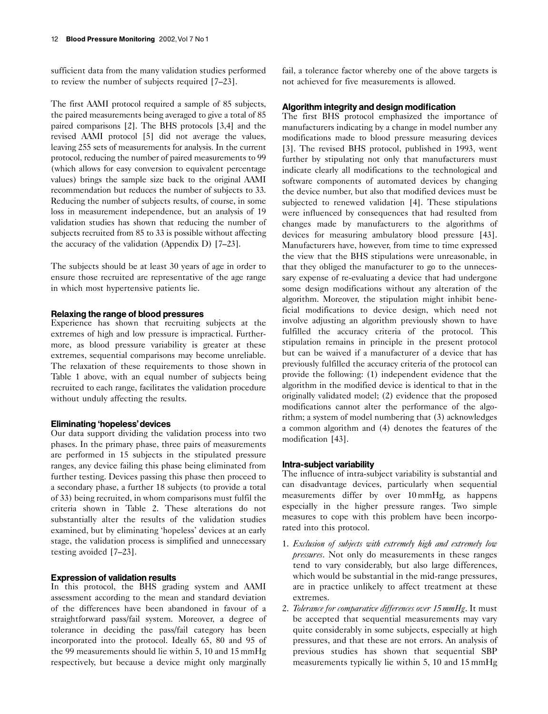sufficient data from the many validation studies performed to review the number of subjects required [7–23].

The first AAMI protocol required a sample of 85 subjects, the paired measurements being averaged to give a total of 85 paired comparisons [2]. The BHS protocols [3,4] and the revised AAMI protocol [5] did not average the values, leaving 255 sets of measurements for analysis. In the current protocol, reducing the number of paired measurements to 99 (which allows for easy conversion to equivalent percentage values) brings the sample size back to the original AAMI recommendation but reduces the number of subjects to 33. Reducing the number of subjects results, of course, in some loss in measurement independence, but an analysis of 19 validation studies has shown that reducing the number of subjects recruited from 85 to 33 is possible without affecting the accuracy of the validation (Appendix D) [7–23].

The subjects should be at least 30 years of age in order to ensure those recruited are representative of the age range in which most hypertensive patients lie.

## Relaxing the range of blood pressures

Experience has shown that recruiting subjects at the extremes of high and low pressure is impractical. Furthermore, as blood pressure variability is greater at these extremes, sequential comparisons may become unreliable. The relaxation of these requirements to those shown in Table 1 above, with an equal number of subjects being recruited to each range, facilitates the validation procedure without unduly affecting the results.

## Eliminating 'hopeless'devices

Our data support dividing the validation process into two phases. In the primary phase, three pairs of measurements are performed in 15 subjects in the stipulated pressure ranges, any device failing this phase being eliminated from further testing. Devices passing this phase then proceed to a secondary phase, a further 18 subjects (to provide a total of 33) being recruited, in whom comparisons must fulfil the criteria shown in Table 2. These alterations do not substantially alter the results of the validation studies examined, but by eliminating 'hopeless' devices at an early stage, the validation process is simplified and unnecessary testing avoided [7–23].

## Expression of validation results

In this protocol, the BHS grading system and AAMI assessment according to the mean and standard deviation of the differences have been abandoned in favour of a straightforward pass/fail system. Moreover, a degree of tolerance in deciding the pass/fail category has been incorporated into the protocol. Ideally 65, 80 and 95 of the 99 measurements should lie within 5, 10 and 15 mmHg respectively, but because a device might only marginally fail, a tolerance factor whereby one of the above targets is not achieved for five measurements is allowed.

## Algorithm integrity and design modification

The first BHS protocol emphasized the importance of manufacturers indicating by a change in model number any modifications made to blood pressure measuring devices [3]. The revised BHS protocol, published in 1993, went further by stipulating not only that manufacturers must indicate clearly all modifications to the technological and software components of automated devices by changing the device number, but also that modified devices must be subjected to renewed validation [4]. These stipulations were influenced by consequences that had resulted from changes made by manufacturers to the algorithms of devices for measuring ambulatory blood pressure [43]. Manufacturers have, however, from time to time expressed the view that the BHS stipulations were unreasonable, in that they obliged the manufacturer to go to the unnecessary expense of re-evaluating a device that had undergone some design modifications without any alteration of the algorithm. Moreover, the stipulation might inhibit beneficial modifications to device design, which need not involve adjusting an algorithm previously shown to have fulfilled the accuracy criteria of the protocol. This stipulation remains in principle in the present protocol but can be waived if a manufacturer of a device that has previously fulfilled the accuracy criteria of the protocol can provide the following: (1) independent evidence that the algorithm in the modified device is identical to that in the originally validated model; (2) evidence that the proposed modifications cannot alter the performance of the algorithm; a system of model numbering that (3) acknowledges a common algorithm and (4) denotes the features of the modification [43].

## Intra-subject variability

The influence of intra-subject variability is substantial and can disadvantage devices, particularly when sequential measurements differ by over 10 mmHg, as happens especially in the higher pressure ranges. Two simple measures to cope with this problem have been incorporated into this protocol.

- 1. Exclusion of subjects with extremely high and extremely low pressures. Not only do measurements in these ranges tend to vary considerably, but also large differences, which would be substantial in the mid-range pressures, are in practice unlikely to affect treatment at these extremes.
- 2. Tolerance for comparative differences over 15 mmHg. It must be accepted that sequential measurements may vary quite considerably in some subjects, especially at high pressures, and that these are not errors. An analysis of previous studies has shown that sequential SBP measurements typically lie within 5, 10 and 15 mmHg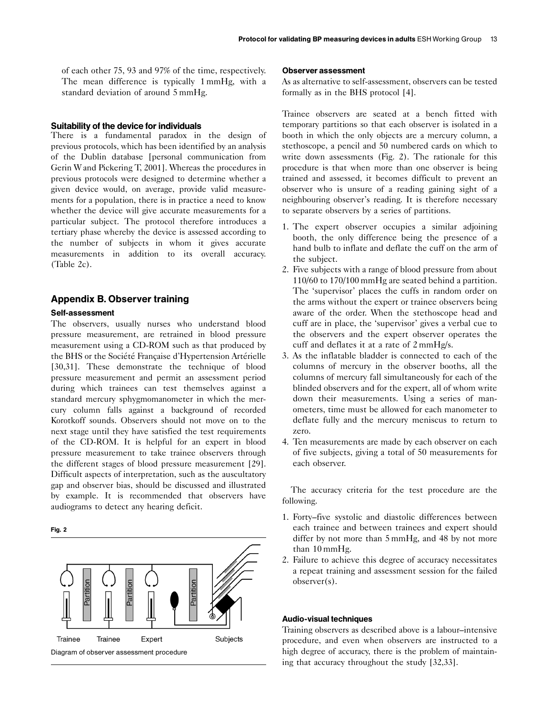of each other 75, 93 and 97% of the time, respectively. The mean difference is typically 1 mmHg, with a standard deviation of around 5 mmHg.

## Suitability of the device for individuals

There is a fundamental paradox in the design of previous protocols, which has been identified by an analysis of the Dublin database [personal communication from Gerin W and Pickering T, 2001]. Whereas the procedures in previous protocols were designed to determine whether a given device would, on average, provide valid measurements for a population, there is in practice a need to know whether the device will give accurate measurements for a particular subject. The protocol therefore introduces a tertiary phase whereby the device is assessed according to the number of subjects in whom it gives accurate measurements in addition to its overall accuracy. (Table 2c).

# Appendix B. Observer training

## Self-assessment

The observers, usually nurses who understand blood pressure measurement, are retrained in blood pressure measurement using a CD-ROM such as that produced by the BHS or the Société Française d'Hypertension Artérielle [30,31]. These demonstrate the technique of blood pressure measurement and permit an assessment period during which trainees can test themselves against a standard mercury sphygmomanometer in which the mercury column falls against a background of recorded Korotkoff sounds. Observers should not move on to the next stage until they have satisfied the test requirements of the CD-ROM. It is helpful for an expert in blood pressure measurement to take trainee observers through the different stages of blood pressure measurement [29]. Difficult aspects of interpretation, such as the auscultatory gap and observer bias, should be discussed and illustrated by example. It is recommended that observers have audiograms to detect any hearing deficit.

#### Fig. 2



#### Observer assessment

As as alternative to self-assessment, observers can be tested formally as in the BHS protocol [4].

Trainee observers are seated at a bench fitted with temporary partitions so that each observer is isolated in a booth in which the only objects are a mercury column, a stethoscope, a pencil and 50 numbered cards on which to write down assessments (Fig. 2). The rationale for this procedure is that when more than one observer is being trained and assessed, it becomes difficult to prevent an observer who is unsure of a reading gaining sight of a neighbouring observer's reading. It is therefore necessary to separate observers by a series of partitions.

- 1. The expert observer occupies a similar adjoining booth, the only difference being the presence of a hand bulb to inflate and deflate the cuff on the arm of the subject.
- 2. Five subjects with a range of blood pressure from about 110/60 to 170/100 mmHg are seated behind a partition. The 'supervisor' places the cuffs in random order on the arms without the expert or trainee observers being aware of the order. When the stethoscope head and cuff are in place, the 'supervisor' gives a verbal cue to the observers and the expert observer operates the cuff and deflates it at a rate of 2 mmHg/s.
- 3. As the inflatable bladder is connected to each of the columns of mercury in the observer booths, all the columns of mercury fall simultaneously for each of the blinded observers and for the expert, all of whom write down their measurements. Using a series of manometers, time must be allowed for each manometer to deflate fully and the mercury meniscus to return to zero.
- 4. Ten measurements are made by each observer on each of five subjects, giving a total of 50 measurements for each observer.

The accuracy criteria for the test procedure are the following.

- 1. Forty–five systolic and diastolic differences between each trainee and between trainees and expert should differ by not more than 5 mmHg, and 48 by not more than 10 mmHg.
- 2. Failure to achieve this degree of accuracy necessitates a repeat training and assessment session for the failed observer(s).

## Audio-visual techniques

Training observers as described above is a labour–intensive procedure, and even when observers are instructed to a high degree of accuracy, there is the problem of maintaining that accuracy throughout the study [32,33].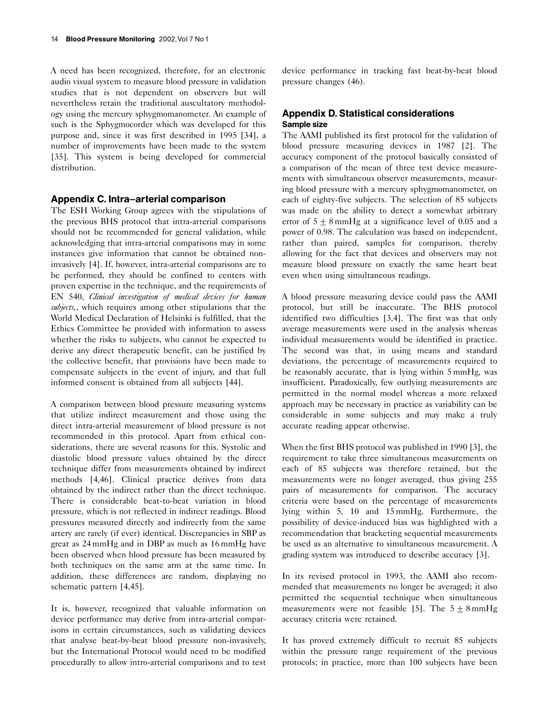A need has been recognized, therefore, for an electronic audio visual system to measure blood pressure in validation studies that is not dependent on observers but will nevertheless retain the traditional auscultatory methodology using the mercury sphygmomanometer. An example of such is the Sphygmocorder which was developed for this purpose and, since it was first described in 1995 [34], a number of improvements have been made to the system [35]. This system is being developed for commercial distribution.

## Appendix C. Intra^arterial comparison

The ESH Working Group agrees with the stipulations of the previous BHS protocol that intra-arterial comparisons should not be recommended for general validation, while acknowledging that intra-arterial comparisons may in some instances give information that cannot be obtained noninvasively [4]. If, however, intra-arterial comparisons are to be performed, they should be confined to centers with proven expertise in the technique, and the requirements of EN 540, Clinical investigation of medical devices for human subjects,, which requires among other stipulations that the World Medical Declaration of Helsinki is fulfilled, that the Ethics Committee be provided with information to assess whether the risks to subjects, who cannot be expected to derive any direct therapeutic benefit, can be justified by the collective benefit, that provisions have been made to compensate subjects in the event of injury, and that full informed consent is obtained from all subjects [44].

A comparison between blood pressure measuring systems that utilize indirect measurement and those using the direct intra-arterial measurement of blood pressure is not recommended in this protocol. Apart from ethical considerations, there are several reasons for this. Systolic and diastolic blood pressure values obtained by the direct technique differ from measurements obtained by indirect methods [4,46]. Clinical practice derives from data obtained by the indirect rather than the direct technique. There is considerable beat-to-beat variation in blood pressure, which is not reflected in indirect readings. Blood pressures measured directly and indirectly from the same artery are rarely (if ever) identical. Discrepancies in SBP as great as 24 mmHg and in DBP as much as 16 mmHg have been observed when blood pressure has been measured by both techniques on the same arm at the same time. In addition, these differences are random, displaying no schematic pattern [4,45].

It is, however, recognized that valuable information on device performance may derive from intra-arterial comparisons in certain circumstances, such as validating devices that analyse beat-by-beat blood pressure non-invasively, but the International Protocol would need to be modified procedurally to allow intro-arterial comparisons and to test device performance in tracking fast beat-by-beat blood pressure changes (46).

# Appendix D. Statistical considerations Sample size

The AAMI published its first protocol for the validation of blood pressure measuring devices in 1987 [2]. The accuracy component of the protocol basically consisted of a comparison of the mean of three test device measurements with simultaneous observer measurements, measuring blood pressure with a mercury sphygmomanometer, on each of eighty-five subjects. The selection of 85 subjects was made on the ability to detect a somewhat arbitrary error of  $5 \pm 8$  mmHg at a significance level of 0.05 and a power of 0.98. The calculation was based on independent, rather than paired, samples for comparison, thereby allowing for the fact that devices and observers may not measure blood pressure on exactly the same heart beat even when using simultaneous readings.

A blood pressure measuring device could pass the AAMI protocol, but still be inaccurate. The BHS protocol identified two difficulties [3,4]. The first was that only average measurements were used in the analysis whereas individual measurements would be identified in practice. The second was that, in using means and standard deviations, the percentage of measurements required to be reasonably accurate, that is lying within 5 mmHg, was insufficient. Paradoxically, few outlying measurements are permitted in the normal model whereas a more relaxed approach may be necessary in practice as variability can be considerable in some subjects and may make a truly accurate reading appear otherwise.

When the first BHS protocol was published in 1990 [3], the requirement to take three simultaneous measurements on each of 85 subjects was therefore retained, but the measurements were no longer averaged, thus giving 255 pairs of measurements for comparison. The accuracy criteria were based on the percentage of measurements lying within 5, 10 and 15 mmHg. Furthermore, the possibility of device-induced bias was highlighted with a recommendation that bracketing sequential measurements be used as an alternative to simultaneous measurement. A grading system was introduced to describe accuracy [3].

In its revised protocol in 1993, the AAMI also recommended that measurements no longer be averaged; it also permitted the sequential technique when simultaneous measurements were not feasible [5]. The  $5 + 8$  mmHg accuracy criteria were retained.

It has proved extremely difficult to recruit 85 subjects within the pressure range requirement of the previous protocols; in practice, more than 100 subjects have been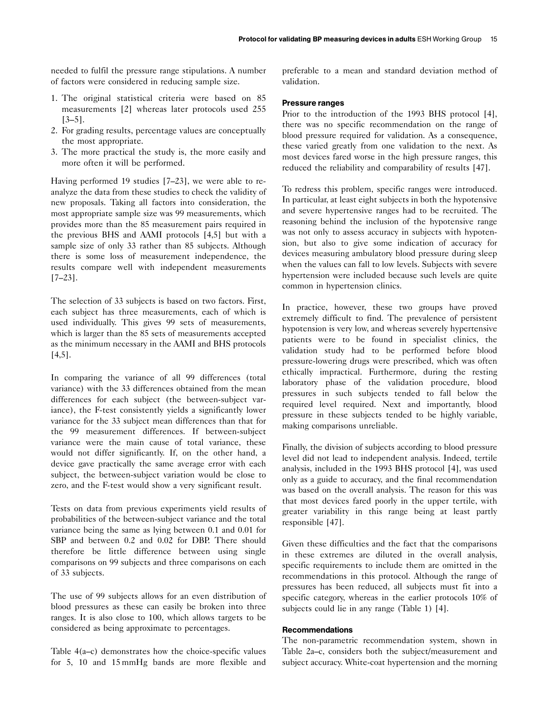needed to fulfil the pressure range stipulations. A number of factors were considered in reducing sample size.

- 1. The original statistical criteria were based on 85 measurements [2] whereas later protocols used 255 [3–5].
- 2. For grading results, percentage values are conceptually the most appropriate.
- 3. The more practical the study is, the more easily and more often it will be performed.

Having performed 19 studies [7–23], we were able to reanalyze the data from these studies to check the validity of new proposals. Taking all factors into consideration, the most appropriate sample size was 99 measurements, which provides more than the 85 measurement pairs required in the previous BHS and AAMI protocols [4,5] but with a sample size of only 33 rather than 85 subjects. Although there is some loss of measurement independence, the results compare well with independent measurements [7–23].

The selection of 33 subjects is based on two factors. First, each subject has three measurements, each of which is used individually. This gives 99 sets of measurements, which is larger than the 85 sets of measurements accepted as the minimum necessary in the AAMI and BHS protocols [4,5].

In comparing the variance of all 99 differences (total variance) with the 33 differences obtained from the mean differences for each subject (the between-subject variance), the F-test consistently yields a significantly lower variance for the 33 subject mean differences than that for the 99 measurement differences. If between-subject variance were the main cause of total variance, these would not differ significantly. If, on the other hand, a device gave practically the same average error with each subject, the between-subject variation would be close to zero, and the F-test would show a very significant result.

Tests on data from previous experiments yield results of probabilities of the between-subject variance and the total variance being the same as lying between 0.1 and 0.01 for SBP and between 0.2 and 0.02 for DBP. There should therefore be little difference between using single comparisons on 99 subjects and three comparisons on each of 33 subjects.

The use of 99 subjects allows for an even distribution of blood pressures as these can easily be broken into three ranges. It is also close to 100, which allows targets to be considered as being approximate to percentages.

Table 4(a–c) demonstrates how the choice-specific values for 5, 10 and 15 mmHg bands are more flexible and

preferable to a mean and standard deviation method of validation.

## Pressure ranges

Prior to the introduction of the 1993 BHS protocol [4], there was no specific recommendation on the range of blood pressure required for validation. As a consequence, these varied greatly from one validation to the next. As most devices fared worse in the high pressure ranges, this reduced the reliability and comparability of results [47].

To redress this problem, specific ranges were introduced. In particular, at least eight subjects in both the hypotensive and severe hypertensive ranges had to be recruited. The reasoning behind the inclusion of the hypotensive range was not only to assess accuracy in subjects with hypotension, but also to give some indication of accuracy for devices measuring ambulatory blood pressure during sleep when the values can fall to low levels. Subjects with severe hypertension were included because such levels are quite common in hypertension clinics.

In practice, however, these two groups have proved extremely difficult to find. The prevalence of persistent hypotension is very low, and whereas severely hypertensive patients were to be found in specialist clinics, the validation study had to be performed before blood pressure-lowering drugs were prescribed, which was often ethically impractical. Furthermore, during the resting laboratory phase of the validation procedure, blood pressures in such subjects tended to fall below the required level required. Next and importantly, blood pressure in these subjects tended to be highly variable, making comparisons unreliable.

Finally, the division of subjects according to blood pressure level did not lead to independent analysis. Indeed, tertile analysis, included in the 1993 BHS protocol [4], was used only as a guide to accuracy, and the final recommendation was based on the overall analysis. The reason for this was that most devices fared poorly in the upper tertile, with greater variability in this range being at least partly responsible [47].

Given these difficulties and the fact that the comparisons in these extremes are diluted in the overall analysis, specific requirements to include them are omitted in the recommendations in this protocol. Although the range of pressures has been reduced, all subjects must fit into a specific category, whereas in the earlier protocols 10% of subjects could lie in any range (Table 1) [4].

#### Recommendations

The non-parametric recommendation system, shown in Table 2a–c, considers both the subject/measurement and subject accuracy. White-coat hypertension and the morning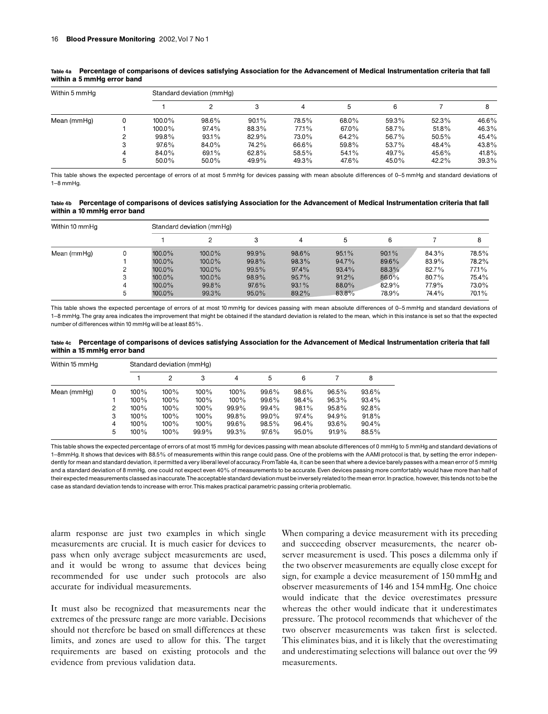| Within 5 mmHq |   |           | Standard deviation (mmHq) |          |          |       |       |       |       |
|---------------|---|-----------|---------------------------|----------|----------|-------|-------|-------|-------|
|               |   |           |                           | c<br>×.  | 4        | 5     | 6     |       |       |
| Mean (mmHq)   | 0 | $100.0\%$ | 98.6%                     | $90.1\%$ | 78.5%    | 68.0% | 59.3% | 52.3% | 46.6% |
|               |   | $100.0\%$ | 97.4%                     | 88.3%    | $77.1\%$ | 67.0% | 58.7% | 51.8% | 46.3% |
|               | 2 | 99.8%     | $93.1\%$                  | 82.9%    | 73.0%    | 64.2% | 56.7% | 50.5% | 45.4% |
|               | 3 | 97.6%     | 84.0%                     | 74.2%    | 66.6%    | 59.8% | 53.7% | 48.4% | 43.8% |
|               | 4 | 84.0%     | 69.1%                     | 62.8%    | 58.5%    | 54.1% | 49.7% | 45.6% | 41.8% |
|               | 5 | $50.0\%$  | $50.0\%$                  | 49.9%    | 49.3%    | 47.6% | 45.0% | 42.2% | 39.3% |

#### Table 4a Percentage of comparisons of devices satisfying Association for the Advancement of Medical Instrumentation criteria that fall within a 5 mmHg error band

This table shows the expected percentage of errors of at most 5 mmHg for devices passing with mean absolute differences of 0-5 mmHg and standard deviations of  $1-8$  mmHg.

Table 4b Percentage of comparisons of devices satisfying Association for the Advancement of Medical Instrumentation criteria that fall within a 10 mmHg error band

| Within 10 mmHa |   |           | Standard deviation (mmHg) |          |          |          |          |          |       |
|----------------|---|-----------|---------------------------|----------|----------|----------|----------|----------|-------|
|                |   |           |                           |          | 4        | 5        | 6        |          | 8     |
| Mean (mmHg)    | 0 | $100.0\%$ | $100.0\%$                 | 99.9%    | $98.6\%$ | $95.1\%$ | $90.1\%$ | 84.3%    | 78.5% |
|                |   | $100.0\%$ | $100.0\%$                 | 99.8%    | 98.3%    | $94.7\%$ | 89.6%    | 83.9%    | 78.2% |
|                | 2 | $100.0\%$ | 100.0%                    | 99.5%    | $97.4\%$ | 93.4%    | 88.3%    | 82.7%    | 77.1% |
|                | 3 | $100.0\%$ | $100.0\%$                 | $98.9\%$ | $95.7\%$ | $91.2\%$ | 86.0%    | $80.7\%$ | 75.4% |
|                | 4 | $100.0\%$ | 99.8%                     | 97.6%    | 93.1%    | 88.0%    | 82.9%    | 77.9%    | 73.0% |
|                | 5 | 100.0%    | 99.3%                     | $95.0\%$ | 89.2%    | 83.8%    | 78.9%    | 74.4%    | 70.1% |

This table shows the expected percentage of errors of at most 10 mmHg for devices passing with mean absolute differences of 0-5 mmHg and standard deviations of 1–8 mmHg. The gray area indicates the improvement that might be obtained if the standard deviation is related to the mean, which in this instance is set so that the expected number of differences within 10 mmHg will be at least 85%.

Table 4c Percentage of comparisons of devices satisfying Association for the Advancement of Medical Instrumentation criteria that fall within a 15 mmHg error band

| Within 15 mmHq |   | Standard deviation (mmHq) |      |         |       |       |       |       |          |  |
|----------------|---|---------------------------|------|---------|-------|-------|-------|-------|----------|--|
|                |   |                           |      | 3       |       | 5     | 6     |       | 8        |  |
| Mean (mmHq)    | 0 | $100\%$                   | 100% | $100\%$ | 100%  | 99.6% | 98.6% | 96.5% | 93.6%    |  |
|                |   | $100\%$                   | 100% | $100\%$ | 100%  | 99.6% | 98.4% | 96.3% | 93.4%    |  |
|                | 2 | $100\%$                   | 100% | 100%    | 99.9% | 99.4% | 98.1% | 95.8% | 92.8%    |  |
|                | 3 | $100\%$                   | 100% | 100%    | 99.8% | 99.0% | 97.4% | 94.9% | 91.8%    |  |
|                | 4 | $100\%$                   | 100% | $100\%$ | 99.6% | 98.5% | 96.4% | 93.6% | $90.4\%$ |  |
|                | 5 | $100\%$                   | 100% | 99.9%   | 99.3% | 97.6% | 95.0% | 91.9% | 88.5%    |  |

This table shows the expected percentage of errors of at most 15 mmHg for devices passing with mean absolute differences of 0 mmHg to 5 mmHg and standard deviations of 1-8mmHg. It shows that devices with 88.5% of measurements within this range could pass. One of the problems with the AAMI protocol is that, by setting the error independently for mean and standard deviation, it permitted a very liberal level of accuracy. From Table 4a, it can be seen that where a device barely passes with a mean error of 5 mmHg and a standard deviation of 8 mmHg, one could not expect even 40% of measurements to be accurate. Even devices passing more comfortably would have more than half of their expected measurements classed as inaccurate. The acceptable standard deviation must be inversely related to the mean error. In practice, however, this tends not to be the case as standard deviation tends to increase with error.This makes practical parametric passing criteria problematic.

alarm response are just two examples in which single measurements are crucial. It is much easier for devices to pass when only average subject measurements are used, and it would be wrong to assume that devices being recommended for use under such protocols are also accurate for individual measurements.

It must also be recognized that measurements near the extremes of the pressure range are more variable. Decisions should not therefore be based on small differences at these limits, and zones are used to allow for this. The target requirements are based on existing protocols and the evidence from previous validation data.

When comparing a device measurement with its preceding and succeeding observer measurements, the nearer observer measurement is used. This poses a dilemma only if the two observer measurements are equally close except for sign, for example a device measurement of 150 mmHg and observer measurements of 146 and 154 mmHg. One choice would indicate that the device overestimates pressure whereas the other would indicate that it underestimates pressure. The protocol recommends that whichever of the two observer measurements was taken first is selected. This eliminates bias, and it is likely that the overestimating and underestimating selections will balance out over the 99 measurements.